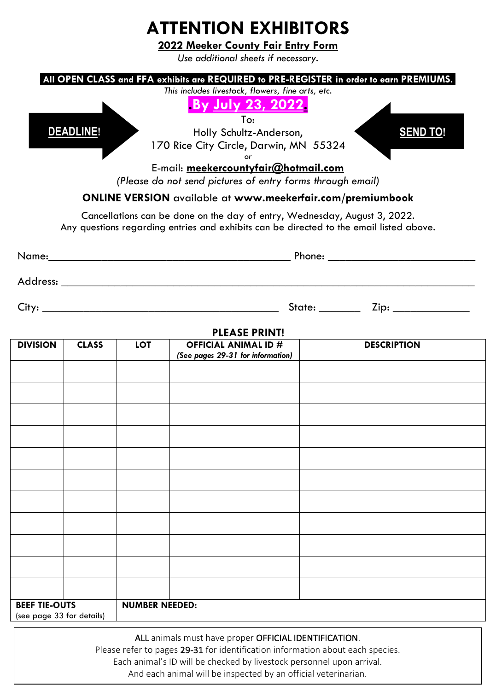## **ATTENTION EXHIBITORS**

**2022 Meeker County Fair Entry Form**

*Use additional sheets if necessary.*

|                                                   |              |                                                                                      |                                                                                                                                                                                                                  | All OPEN CLASS and FFA exhibits are REQUIRED to PRE-REGISTER in order to earn PREMIUMS. |  |
|---------------------------------------------------|--------------|--------------------------------------------------------------------------------------|------------------------------------------------------------------------------------------------------------------------------------------------------------------------------------------------------------------|-----------------------------------------------------------------------------------------|--|
|                                                   |              |                                                                                      | This includes livestock, flowers, fine arts, etc.                                                                                                                                                                |                                                                                         |  |
|                                                   |              |                                                                                      | By July 23, 2022.<br>To:                                                                                                                                                                                         |                                                                                         |  |
| <b>DEADLINE!</b>                                  |              | <b>SEND TO!</b><br>Holly Schultz-Anderson,<br>170 Rice City Circle, Darwin, MN 55324 |                                                                                                                                                                                                                  |                                                                                         |  |
|                                                   |              |                                                                                      | E-mail: meekercountyfair@hotmail.com<br>(Please do not send pictures of entry forms through email)                                                                                                               |                                                                                         |  |
|                                                   |              |                                                                                      | <b>ONLINE VERSION</b> available at www.meekerfair.com/premiumbook                                                                                                                                                |                                                                                         |  |
|                                                   |              |                                                                                      | Cancellations can be done on the day of entry, Wednesday, August 3, 2022.<br>Any questions regarding entries and exhibits can be directed to the email listed above.                                             |                                                                                         |  |
|                                                   |              |                                                                                      |                                                                                                                                                                                                                  |                                                                                         |  |
|                                                   |              |                                                                                      |                                                                                                                                                                                                                  |                                                                                         |  |
|                                                   |              |                                                                                      |                                                                                                                                                                                                                  |                                                                                         |  |
|                                                   |              |                                                                                      | <b>PLEASE PRINT!</b>                                                                                                                                                                                             |                                                                                         |  |
| <b>DIVISION</b>                                   | <b>CLASS</b> | LOT.                                                                                 | <b>OFFICIAL ANIMAL ID #</b><br>(See pages 29-31 for information)                                                                                                                                                 | <b>DESCRIPTION</b>                                                                      |  |
|                                                   |              |                                                                                      |                                                                                                                                                                                                                  |                                                                                         |  |
|                                                   |              |                                                                                      |                                                                                                                                                                                                                  |                                                                                         |  |
|                                                   |              |                                                                                      |                                                                                                                                                                                                                  |                                                                                         |  |
|                                                   |              |                                                                                      |                                                                                                                                                                                                                  |                                                                                         |  |
|                                                   |              |                                                                                      |                                                                                                                                                                                                                  |                                                                                         |  |
|                                                   |              |                                                                                      |                                                                                                                                                                                                                  |                                                                                         |  |
|                                                   |              |                                                                                      |                                                                                                                                                                                                                  |                                                                                         |  |
|                                                   |              |                                                                                      |                                                                                                                                                                                                                  |                                                                                         |  |
|                                                   |              |                                                                                      |                                                                                                                                                                                                                  |                                                                                         |  |
|                                                   |              |                                                                                      |                                                                                                                                                                                                                  |                                                                                         |  |
| <b>BEEF TIE-OUTS</b><br>(see page 33 for details) |              | <b>NUMBER NEEDED:</b>                                                                |                                                                                                                                                                                                                  |                                                                                         |  |
|                                                   |              |                                                                                      | ALL animals must have proper OFFICIAL IDENTIFICATION.<br>Please refer to pages 29-31 for identification information about each species.<br>Each animal's ID will be checked by livestock personnel upon arrival. |                                                                                         |  |

And each animal will be inspected by an official veterinarian.